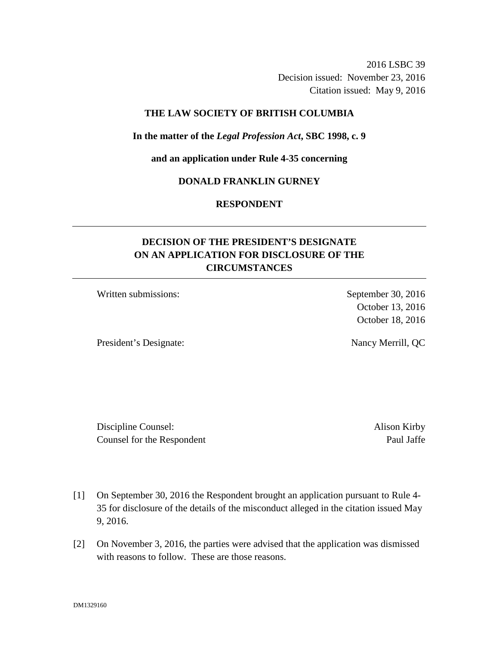2016 LSBC 39 Decision issued: November 23, 2016 Citation issued: May 9, 2016

### **THE LAW SOCIETY OF BRITISH COLUMBIA**

#### **In the matter of the** *Legal Profession Act***, SBC 1998, c. 9**

**and an application under Rule 4-35 concerning** 

## **DONALD FRANKLIN GURNEY**

## **RESPONDENT**

# **DECISION OF THE PRESIDENT'S DESIGNATE ON AN APPLICATION FOR DISCLOSURE OF THE CIRCUMSTANCES**

Written submissions: September 30, 2016

President's Designate: Nancy Merrill, QC

October 13, 2016 October 18, 2016

Discipline Counsel: Alison Kirby Counsel for the Respondent Paul Jaffe

- [1] On September 30, 2016 the Respondent brought an application pursuant to Rule 4- 35 for disclosure of the details of the misconduct alleged in the citation issued May 9, 2016.
- [2] On November 3, 2016, the parties were advised that the application was dismissed with reasons to follow. These are those reasons.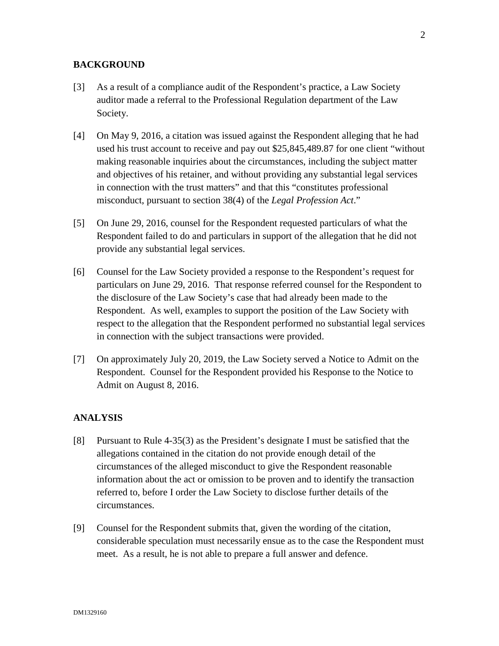### **BACKGROUND**

- [3] As a result of a compliance audit of the Respondent's practice, a Law Society auditor made a referral to the Professional Regulation department of the Law Society.
- [4] On May 9, 2016, a citation was issued against the Respondent alleging that he had used his trust account to receive and pay out \$25,845,489.87 for one client "without making reasonable inquiries about the circumstances, including the subject matter and objectives of his retainer, and without providing any substantial legal services in connection with the trust matters" and that this "constitutes professional misconduct, pursuant to section 38(4) of the *Legal Profession Act*."
- [5] On June 29, 2016, counsel for the Respondent requested particulars of what the Respondent failed to do and particulars in support of the allegation that he did not provide any substantial legal services.
- [6] Counsel for the Law Society provided a response to the Respondent's request for particulars on June 29, 2016. That response referred counsel for the Respondent to the disclosure of the Law Society's case that had already been made to the Respondent. As well, examples to support the position of the Law Society with respect to the allegation that the Respondent performed no substantial legal services in connection with the subject transactions were provided.
- [7] On approximately July 20, 2019, the Law Society served a Notice to Admit on the Respondent. Counsel for the Respondent provided his Response to the Notice to Admit on August 8, 2016.

### **ANALYSIS**

- [8] Pursuant to Rule 4-35(3) as the President's designate I must be satisfied that the allegations contained in the citation do not provide enough detail of the circumstances of the alleged misconduct to give the Respondent reasonable information about the act or omission to be proven and to identify the transaction referred to, before I order the Law Society to disclose further details of the circumstances.
- [9] Counsel for the Respondent submits that, given the wording of the citation, considerable speculation must necessarily ensue as to the case the Respondent must meet. As a result, he is not able to prepare a full answer and defence.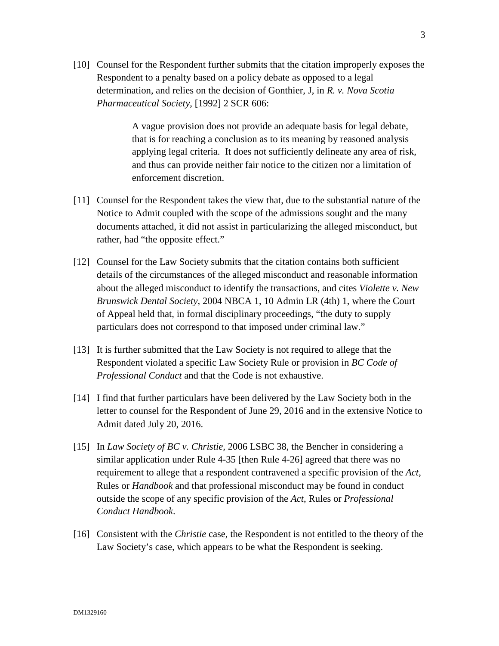[10] Counsel for the Respondent further submits that the citation improperly exposes the Respondent to a penalty based on a policy debate as opposed to a legal determination, and relies on the decision of Gonthier, J, in *R. v. Nova Scotia Pharmaceutical Society*, [1992] 2 SCR 606:

> A vague provision does not provide an adequate basis for legal debate, that is for reaching a conclusion as to its meaning by reasoned analysis applying legal criteria. It does not sufficiently delineate any area of risk, and thus can provide neither fair notice to the citizen nor a limitation of enforcement discretion.

- [11] Counsel for the Respondent takes the view that, due to the substantial nature of the Notice to Admit coupled with the scope of the admissions sought and the many documents attached, it did not assist in particularizing the alleged misconduct, but rather, had "the opposite effect."
- [12] Counsel for the Law Society submits that the citation contains both sufficient details of the circumstances of the alleged misconduct and reasonable information about the alleged misconduct to identify the transactions, and cites *Violette v. New Brunswick Dental Society,* 2004 NBCA 1, 10 Admin LR (4th) 1, where the Court of Appeal held that, in formal disciplinary proceedings, "the duty to supply particulars does not correspond to that imposed under criminal law."
- [13] It is further submitted that the Law Society is not required to allege that the Respondent violated a specific Law Society Rule or provision in *BC Code of Professional Conduct* and that the Code is not exhaustive.
- [14] I find that further particulars have been delivered by the Law Society both in the letter to counsel for the Respondent of June 29, 2016 and in the extensive Notice to Admit dated July 20, 2016.
- [15] In *Law Society of BC v. Christie,* 2006 LSBC 38, the Bencher in considering a similar application under Rule 4-35 [then Rule 4-26] agreed that there was no requirement to allege that a respondent contravened a specific provision of the *Act*, Rules or *Handbook* and that professional misconduct may be found in conduct outside the scope of any specific provision of the *Act*, Rules or *Professional Conduct Handbook*.
- [16] Consistent with the *Christie* case, the Respondent is not entitled to the theory of the Law Society's case, which appears to be what the Respondent is seeking.